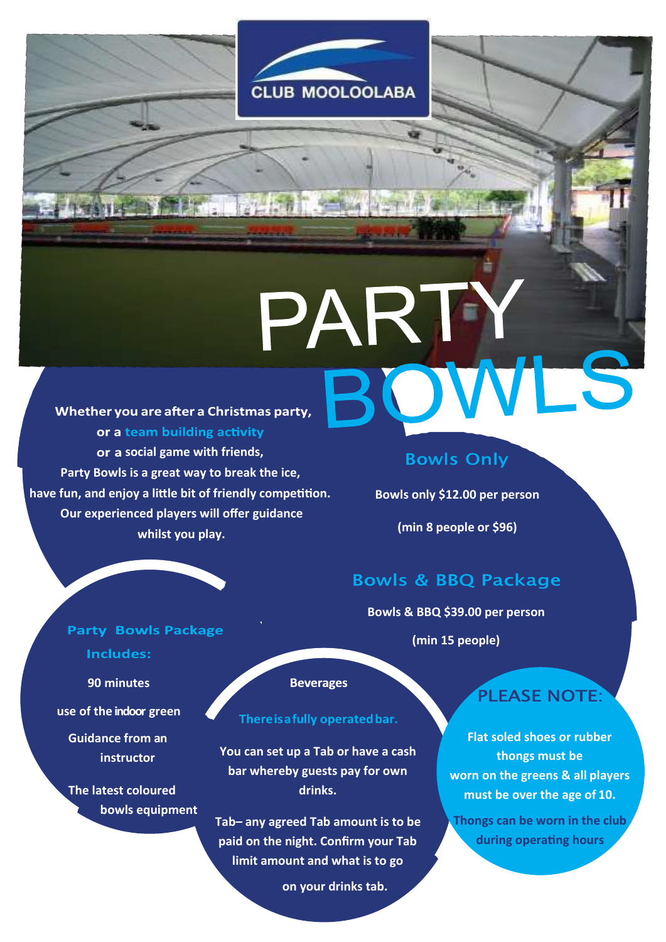

PART

Whether you are after a Christmas party, or a team building activity **social game with friends, Party Bowls is a great way to break the ice, have fun, and enjoy a little bit of friendly competition. Our experienced players will offer guidance whilst you play.**

## **Bowls Only**

 $\left| \mathbf{r} \right|$ 

**Bowls only \$12.00 per person** 

**(min 8 people or \$96)**

# **Bowls & BBQ Package**

**Bowls & BBQ \$39.00 per person** 

**(min 15 people)**

# PLEASE NOTE:

WLS

**Flat soled shoes or rubber thongs must be worn on the greens & all players must be over the age of 10.**

**Thongs can be worn in the club during operating hours**

### **Party Bowls Package**

**Includes:** 

**90 minutes** 

**use of the indoor green**

**Guidance from an instructor**

**The latest coloured bowls equipment** **Beverages** 

## There is a fully operated bar.

**You can set up a Tab or have a cash bar whereby guests pay for own drinks.**

**Tab– any agreed Tab amount is to be paid on the night. Confirm your Tab limit amount and what is to go**

**on your drinks tab.**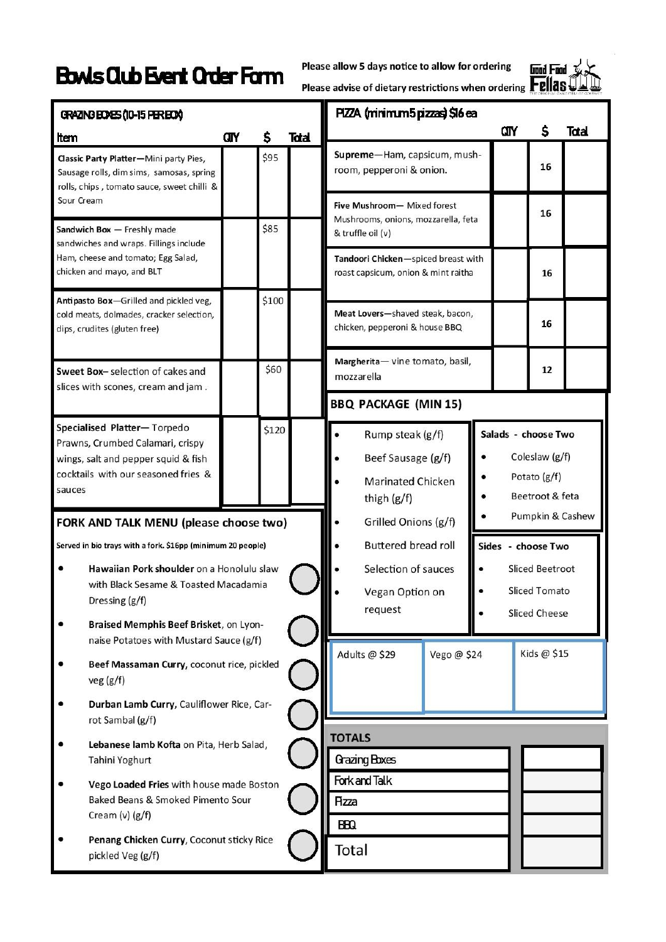# **Bowls Club Event Order Form**



| GRAZING EDGES (10-15 PER EOX)                                                                                                                           |                                                                                                                                  |                                          |       |                                          | PlZZA (minimum 5 pizzas) \$16 ea                                                        |                             |             |                                                                          |                      |             |       |
|---------------------------------------------------------------------------------------------------------------------------------------------------------|----------------------------------------------------------------------------------------------------------------------------------|------------------------------------------|-------|------------------------------------------|-----------------------------------------------------------------------------------------|-----------------------------|-------------|--------------------------------------------------------------------------|----------------------|-------------|-------|
| Item                                                                                                                                                    |                                                                                                                                  | ŒΓ                                       | \$    | Total                                    |                                                                                         |                             |             |                                                                          | CITY                 | S           | Total |
|                                                                                                                                                         | Classic Party Platter-Mini party Pies,<br>Sausage rolls, dim sims, samosas, spring<br>rolls, chips, tomato sauce, sweet chilli & |                                          | \$95  |                                          | Supreme-Ham, capsicum, mush-<br>room, pepperoni & onion.                                |                             |             |                                                                          | 16                   |             |       |
| Sour Cream<br>Sandwich Box - Freshly made                                                                                                               |                                                                                                                                  |                                          | \$85  |                                          | Five Mushroom- Mixed forest<br>Mushrooms, onions, mozzarella, feta<br>& truffle oil (v) |                             |             |                                                                          | 16                   |             |       |
| sandwiches and wraps. Fillings include<br>Ham, cheese and tomato; Egg Salad,<br>chicken and mayo, and BLT                                               |                                                                                                                                  |                                          |       |                                          | Tandoori Chicken-spiced breast with<br>roast capsicum, onion & mint raitha              |                             |             |                                                                          | 16                   |             |       |
| Antipasto Box-Grilled and pickled veg,<br>cold meats, dolmades, cracker selection,<br>dips, crudites (gluten free)                                      |                                                                                                                                  |                                          | \$100 |                                          | Meat Lovers-shaved steak, bacon,<br>chicken, pepperoni & house BBQ                      |                             |             |                                                                          |                      | 16          |       |
| Sweet Box-selection of cakes and<br>slices with scones, cream and jam.                                                                                  |                                                                                                                                  |                                          | \$60  |                                          | Margherita- vine tomato, basil,<br>mozzarella                                           |                             |             |                                                                          |                      | 12          |       |
|                                                                                                                                                         |                                                                                                                                  |                                          |       |                                          |                                                                                         | <b>BBQ PACKAGE (MIN 15)</b> |             |                                                                          |                      |             |       |
| Specialised Platter-Torpedo<br>Prawns, Crumbed Calamari, crispy<br>wings, salt and pepper squid & fish<br>cocktails with our seasoned fries &<br>sauces |                                                                                                                                  |                                          | \$120 |                                          | Rump steak (g/f)<br>Beef Sausage (g/f)<br><b>Marinated Chicken</b><br>thigh (g/f)       |                             |             | Salads - choose Two<br>Coleslaw (g/f)<br>Potato (g/f)<br>Beetroot & feta |                      |             |       |
| FORK AND TALK MENU (please choose two)                                                                                                                  |                                                                                                                                  |                                          |       | Pumpkin & Cashew<br>Grilled Onions (g/f) |                                                                                         |                             |             |                                                                          |                      |             |       |
|                                                                                                                                                         | Served in bio trays with a fork. \$16pp (minimum 20 people)                                                                      |                                          |       |                                          | <b>Buttered bread roll</b><br>Sides - choose Two                                        |                             |             |                                                                          |                      |             |       |
| Hawaiian Pork shoulder on a Honolulu slaw<br>٠<br>with Black Sesame & Toasted Macadamia<br>Dressing (g/f)                                               |                                                                                                                                  |                                          |       |                                          | Selection of sauces<br>Vegan Option on<br>request                                       |                             |             | <b>Sliced Beetroot</b><br><b>Sliced Tomato</b>                           |                      |             |       |
|                                                                                                                                                         | Braised Memphis Beef Brisket, on Lyon-<br>naise Potatoes with Mustard Sauce (g/f)                                                |                                          |       |                                          |                                                                                         |                             |             |                                                                          | <b>Sliced Cheese</b> |             |       |
|                                                                                                                                                         | Beef Massaman Curry, coconut rice, pickled<br>veg(g/f)                                                                           |                                          |       |                                          |                                                                                         | Adults @ \$29               | Vego @ \$24 |                                                                          |                      | Kids @ \$15 |       |
|                                                                                                                                                         | Durban Lamb Curry, Cauliflower Rice, Car-<br>rot Sambal (g/f)                                                                    |                                          |       |                                          |                                                                                         |                             |             |                                                                          |                      |             |       |
|                                                                                                                                                         | Lebanese lamb Kofta on Pita, Herb Salad,<br>Tahini Yoghurt                                                                       |                                          |       | <b>TOTALS</b><br>Grazing Boxes           |                                                                                         |                             |             |                                                                          |                      |             |       |
|                                                                                                                                                         | Baked Beans & Smoked Pimento Sour<br>Cream $(v)$ $(g/f)$                                                                         | Vego Loaded Fries with house made Boston |       |                                          | Fork and Talk<br>Azza<br>ΒĐΩ                                                            |                             |             |                                                                          |                      |             |       |
|                                                                                                                                                         | Penang Chicken Curry, Coconut sticky Rice<br>pickled Veg (g/f)                                                                   |                                          |       | Total                                    |                                                                                         |                             |             |                                                                          |                      |             |       |